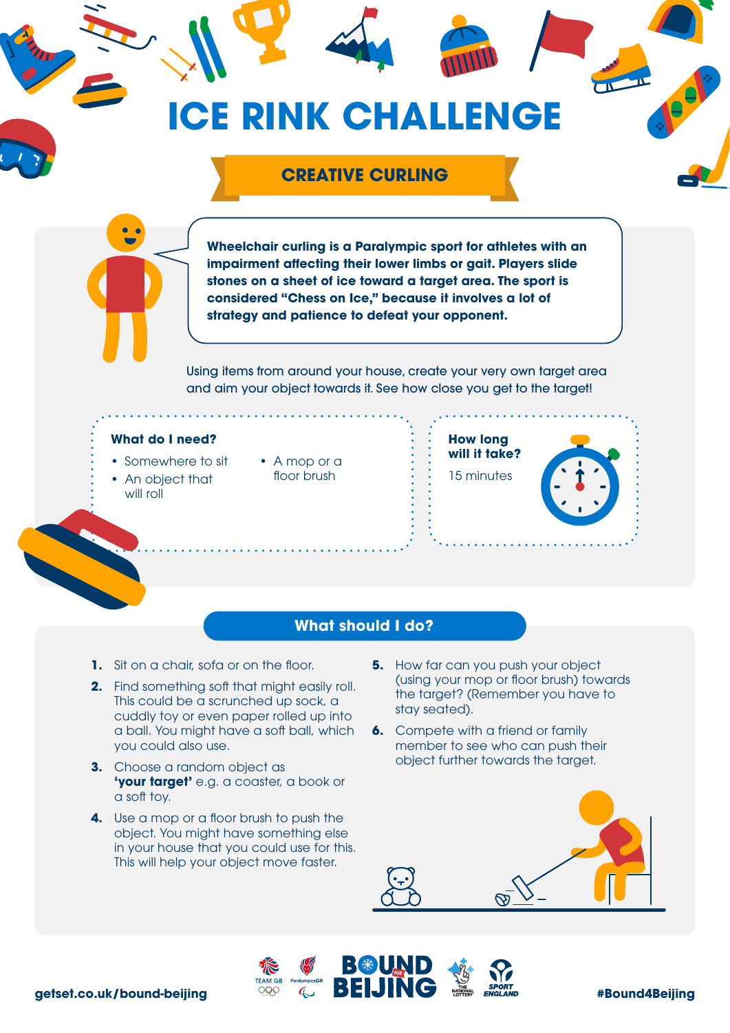# **ICE RINK CHALLENGE**

# **CREATIVE CURLING**

**Wheelchair curling is a Paralympic sport for athletes with an impairment affecting their lower limbs or gait. Players slide stones on a sheet of ice toward a target area. The sport is considered "Chess on Ice," because it involves a lot of strategy and patience to defeat your opponent.**

Using items from around your house, create your very own target area and aim your object towards it. See how close you get to the target!

### **What do I need?**

- Somewhere to sit
- An object that will roll
- A mop or a floor brush





## **What should I do?**

- **1.** Sit on a chair, sofa or on the floor.
- **2.** Find something soft that might easily roll. This could be a scrunched up sock, a cuddly toy or even paper rolled up into a ball. You might have a soft ball, which you could also use.
- **3.** Choose a random object as **'your target'** e.g. a coaster, a book or a soft toy.
- **4.** Use a mop or a floor brush to push the object. You might have something else in your house that you could use for this. This will help your object move faster.
- **5.** How far can you push your object (using your mop or floor brush) towards the target? (Remember you have to stay seated).
- **6.** Compete with a friend or family member to see who can push their object further towards the target.